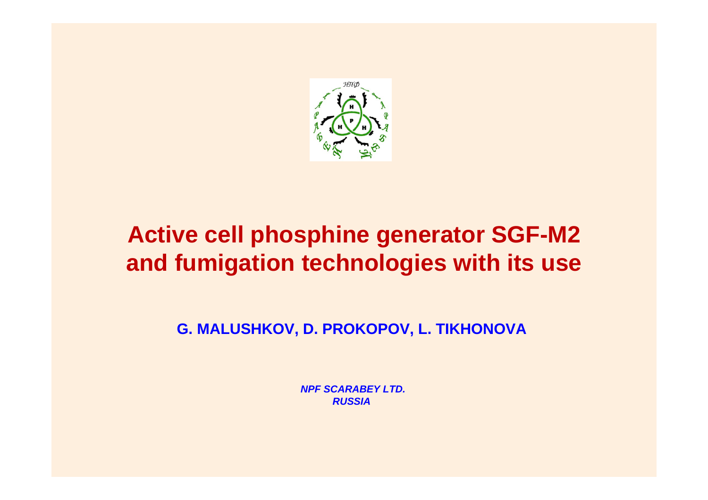

# **Active cell phosphine generator SGF-M2 and fumigation technologies with its use**

**G. MALUSHKOV, D. PROKOPOV, L. TIKHONOVA**

*NPF SCARABEY LTD. RUSSIA*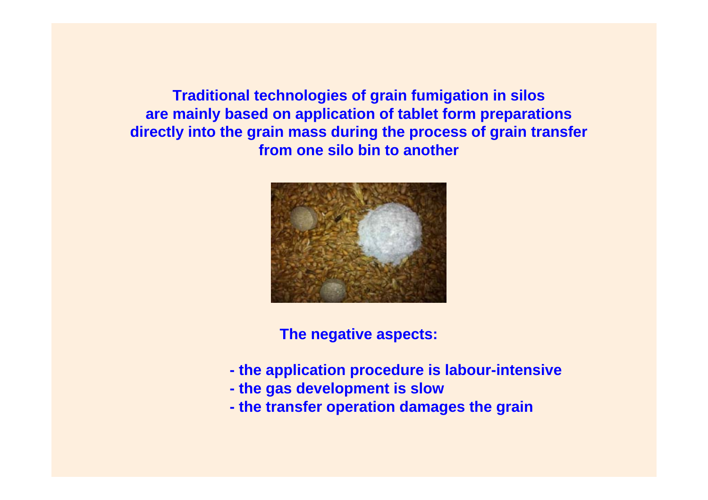**Traditional technologies of grain fumigation in silos are mainly based on application of tablet form preparations directly into the grain mass during the process of grain transfer from one silo bin to another**



**The negative aspects:**

- **the application procedure is labour-intensive**
- **the gas development is slow**
- **the transfer operation damages the grain**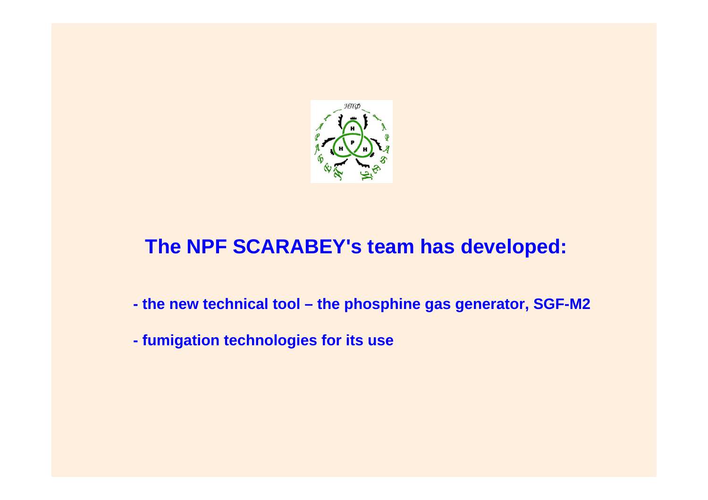

## **The NPF SCARABEY's team has developed:**

- **the new technical tool the phosphine gas generator, SGF-M2**
- **fumigation technologies for its use**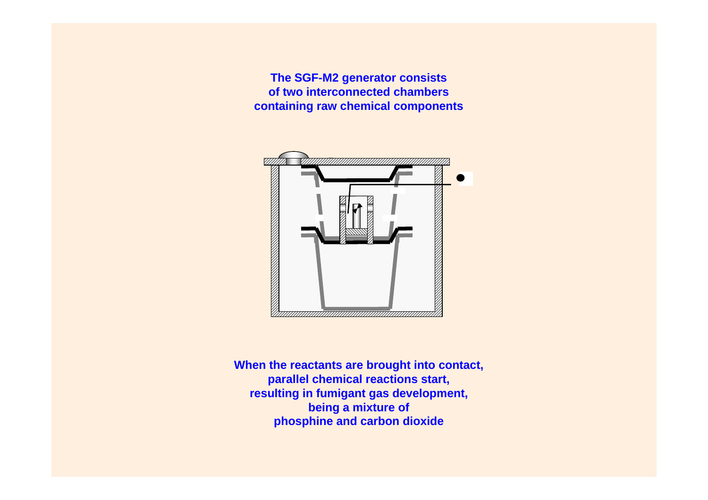**The SGF-M2 generator consists of two interconnected chambers containing raw chemical components**



**When the reactants are brought into contact, parallel chemical reactions start, resulting in fumigant gas development, being a mixture of phosphine and carbon dioxide**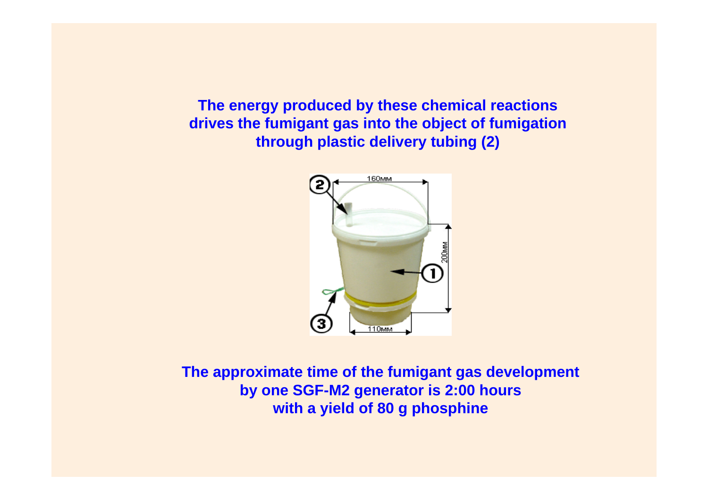**The energy produced by these chemical reactions drives the fumigant gas into the object of fumigation through plastic delivery tubing (2)**



**The approximate time of the fumigant gas development by one SGF-M2 generator is 2:00 hours with a yield of 80 g phosphine**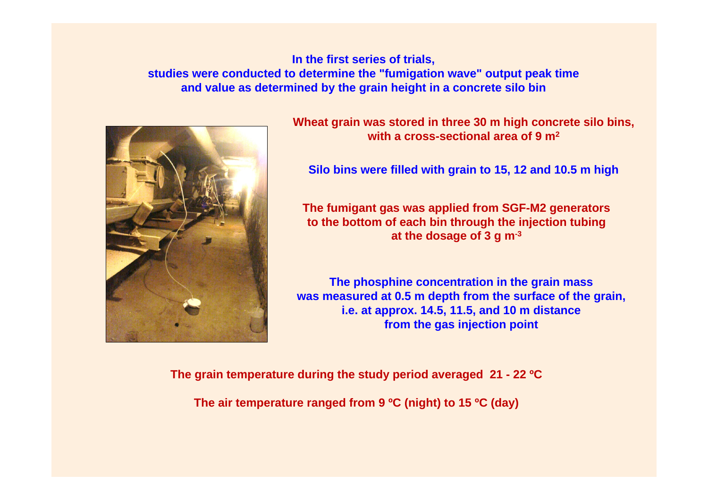**In the first series of trials, studies were conducted to determine the "fumigation wave" output peak time and value as determined by the grain height in a concrete silo bin**



**Wheat grain was stored in three 30 m high concrete silo bins, with a cross-sectional area of 9 m2**

**Silo bins were filled with grain to 15, 12 and 10.5 m high**

**The fumigant gas was applied from SGF-M2 generators to the bottom of each bin through the injection tubing at the dosage of 3 g m-3**

**The phosphine concentration in the grain mass was measured at 0.5 m depth from the surface of the grain, i.e. at approx. 14.5, 11.5, and 10 m distance from the gas injection point**

**The grain temperature during the study period averaged 21 - 22 ºC** 

**The air temperature ranged from 9 ºC (night) to 15 ºC (day)**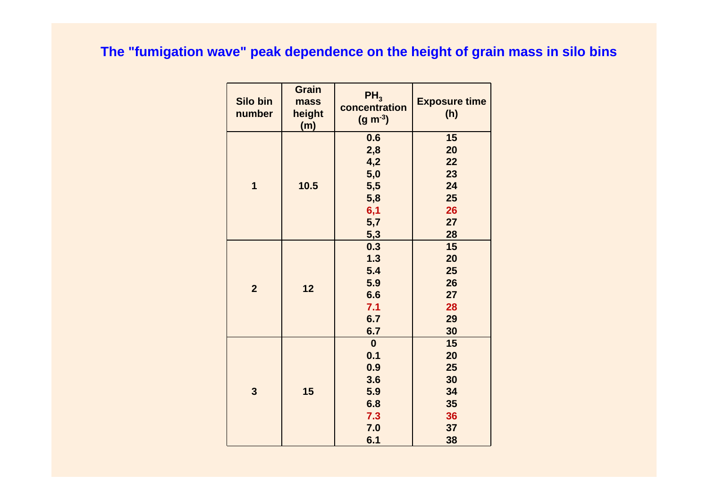#### **The "fumigation wave" peak dependence on the height of grain mass in silo bins**

| Silo bin<br>number | <b>Grain</b><br>mass<br>height<br>(m) | $PH_3$<br>concentration<br>$(g m^{-3})$ | <b>Exposure time</b><br>(h) |
|--------------------|---------------------------------------|-----------------------------------------|-----------------------------|
|                    | 10.5                                  | 0.6                                     | 15                          |
|                    |                                       | 2,8                                     | 20                          |
|                    |                                       | 4,2                                     | 22                          |
|                    |                                       | 5,0                                     | 23                          |
| 1                  |                                       | 5,5                                     | 24                          |
|                    |                                       | 5,8                                     | 25                          |
|                    |                                       | 6,1                                     | 26                          |
|                    |                                       | 5,7                                     | 27                          |
|                    |                                       | 5,3                                     | 28                          |
|                    | 12                                    | 0.3                                     | 15                          |
|                    |                                       | 1.3                                     | 20                          |
| $\overline{2}$     |                                       | 5.4                                     | 25                          |
|                    |                                       | 5.9                                     | 26                          |
|                    |                                       | 6.6                                     | 27                          |
|                    |                                       | 7.1                                     | 28                          |
|                    |                                       | 6.7                                     | 29                          |
|                    |                                       | 6.7                                     | 30                          |
| 3                  | 15                                    | $\boldsymbol{0}$                        | 15                          |
|                    |                                       | 0.1                                     | 20                          |
|                    |                                       | 0.9                                     | 25                          |
|                    |                                       | 3.6                                     | 30                          |
|                    |                                       | 5.9                                     | 34                          |
|                    |                                       | 6.8                                     | 35                          |
|                    |                                       | 7.3                                     | 36                          |
|                    |                                       | 7.0                                     | 37                          |
|                    |                                       | 6.1                                     | 38                          |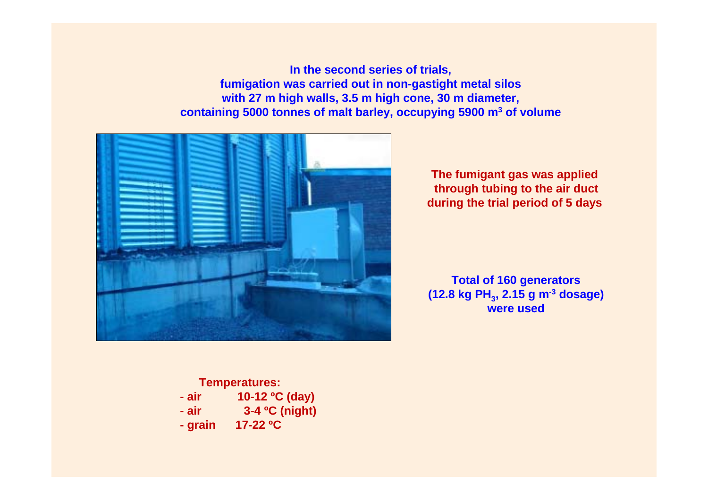**In the second series of trials, fumigation was carried out in non-gastight metal silos with 27 m high walls, 3.5 m high cone, 30 m diameter, containing 5000 tonnes of malt barley, occupying 5900 m3 of volume**



**The fumigant gas was applied through tubing to the air duct during the trial period of 5 days**

**Total of 160 generators (12.8 kg PH3 , 2.15 g m-3 dosage) were used**

#### **Temperatures: - air 10-12 ºC (day)**

- **air 3-4 ºC (night)**
- **grain 17-22 ºC**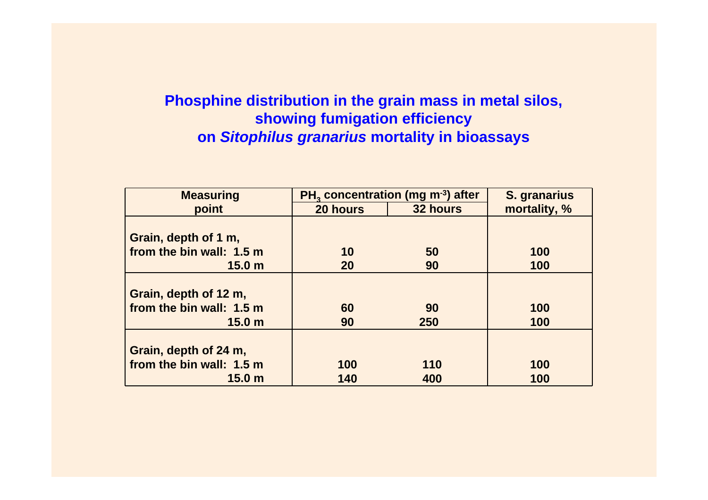### **Phosphine distribution in the grain mass in metal silos, showing fumigation efficiency on** *Sitophilus granarius* **mortality in bioassays**

| <b>Measuring</b>         | PH <sub>2</sub> concentration (mg m <sup>-3</sup> ) after |          | S. granarius |
|--------------------------|-----------------------------------------------------------|----------|--------------|
| point                    | 20 hours                                                  | 32 hours | mortality, % |
|                          |                                                           |          |              |
| Grain, depth of 1 m,     |                                                           |          |              |
| from the bin wall: 1.5 m | 10                                                        | 50       | 100          |
| 15.0 <sub>m</sub>        | 20                                                        | 90       | 100          |
|                          |                                                           |          |              |
| Grain, depth of 12 m,    |                                                           |          |              |
| from the bin wall: 1.5 m | 60                                                        | 90       | 100          |
| 15.0 <sub>m</sub>        | 90                                                        | 250      | 100          |
|                          |                                                           |          |              |
| Grain, depth of 24 m,    |                                                           |          |              |
| from the bin wall: 1.5 m | 100                                                       | 110      | 100          |
| 15.0 <sub>m</sub>        | 140                                                       | 400      | 100          |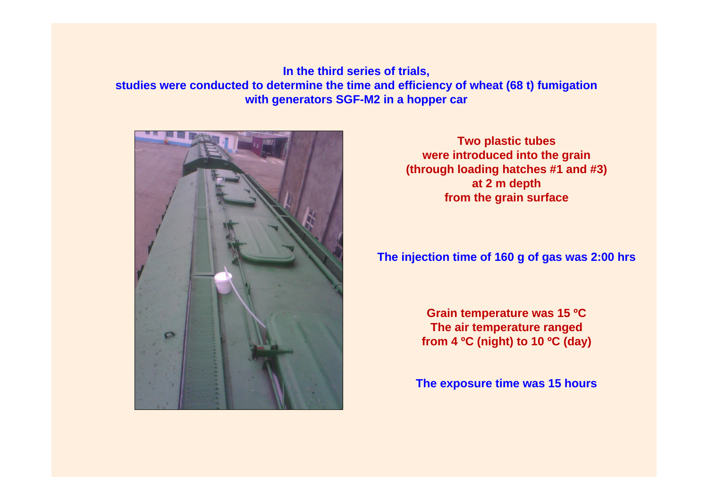**In the third series of trials, studies were conducted to determine the time and efficiency of wheat (68 t) fumigation with generators SGF-M2 in a hopper car** 



**Two plastic tubes were introduced into the grain (through loading hatches #1 and #3) at 2 m depth from the grain surface**

#### **The injection time of 160 g of gas was 2:00 hrs**

**Grain temperature was 15 ºC The air temperature ranged from 4 ºC (night) to 10 ºC (day)** 

**The exposure time was 15 hours**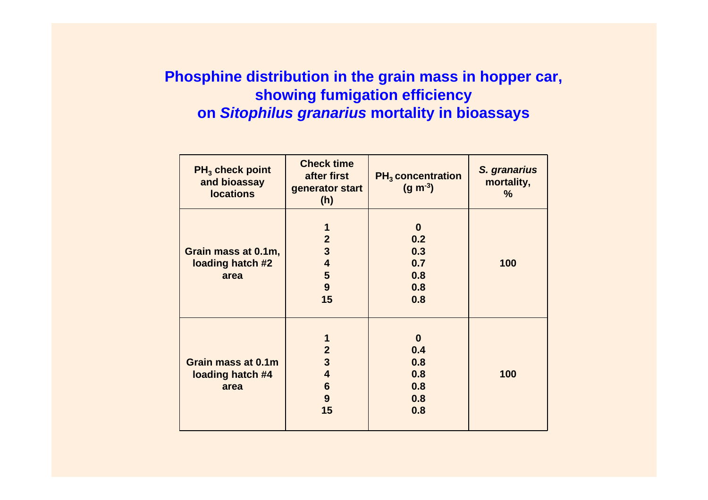#### **Phosphine distribution in the grain mass in hopper car, showing fumigation efficiency on** *Sitophilus granarius* **mortality in bioassays**

| $PH_3$ check point<br>and bioassay<br><b>locations</b> | <b>Check time</b><br>after first<br>generator start<br>(h) | $PH_3$ concentration<br>$(g m^{-3})$ | S. granarius<br>mortality,<br>$\%$ |
|--------------------------------------------------------|------------------------------------------------------------|--------------------------------------|------------------------------------|
|                                                        | 1                                                          | $\bf{0}$                             |                                    |
|                                                        |                                                            |                                      |                                    |
|                                                        | $\overline{2}$                                             | 0.2                                  |                                    |
| Grain mass at 0.1m,                                    | $\mathbf{3}$                                               | 0.3                                  |                                    |
| loading hatch #2                                       | $\overline{\mathbf{4}}$                                    | 0.7                                  | 100                                |
| area                                                   | 5                                                          | 0.8                                  |                                    |
|                                                        | 9                                                          | 0.8                                  |                                    |
|                                                        | 15                                                         | 0.8                                  |                                    |
|                                                        | 1                                                          | $\bf{0}$                             |                                    |
|                                                        | $\boldsymbol{2}$                                           | 0.4                                  |                                    |
| Grain mass at 0.1m                                     | $\mathbf{3}$                                               | 0.8                                  |                                    |
| loading hatch #4                                       | $\overline{\mathbf{4}}$                                    | 0.8                                  | 100                                |
|                                                        |                                                            |                                      |                                    |
| area                                                   | $6\phantom{1}6$                                            | 0.8                                  |                                    |
|                                                        | 9                                                          | 0.8                                  |                                    |
|                                                        | 15                                                         | 0.8                                  |                                    |
|                                                        |                                                            |                                      |                                    |